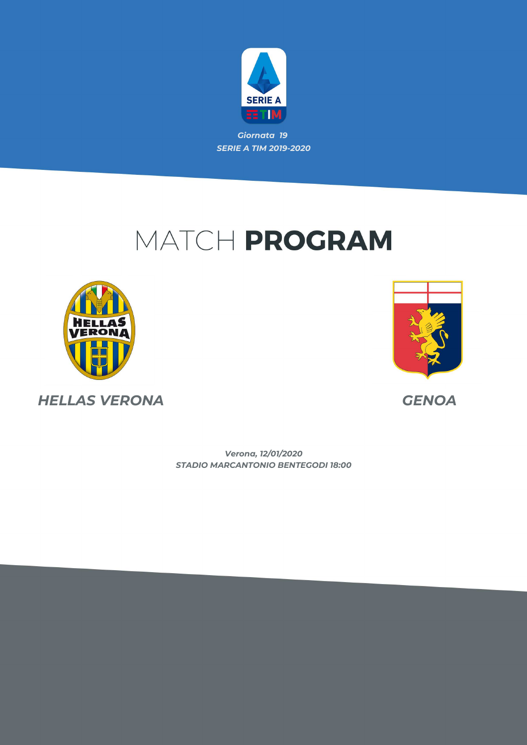

# MATCH PROGRAM





*HELLAS VERONA GENOA*

*STADIO MARCANTONIO BENTEGODI 18:00 Verona, 12/01/2020*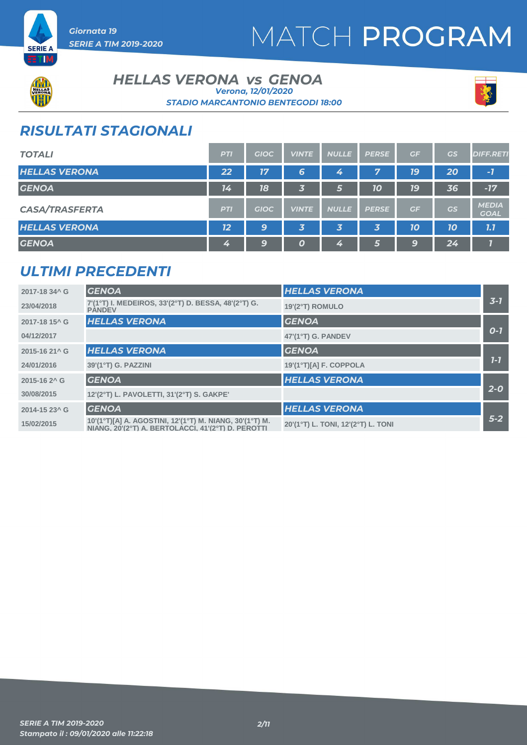



#### **HELLAS VERONA** *vs* GENOA *STADIO MARCANTONIO BENTEGODI 18:00 Verona, 12/01/2020*



### *RISULTATI STAGIONALI*

| <b>TOTALI</b>         | <b>PTI</b> | <b>GIOC</b> | <b>VINTE</b>            | <b>NULLE</b> | <b>PERSE</b> | GF | <b>GS</b> | <b>DIFF.RETI</b>            |
|-----------------------|------------|-------------|-------------------------|--------------|--------------|----|-----------|-----------------------------|
| <b>HELLAS VERONA</b>  | 22         | 17          | 6                       | 4            | 7            | 79 | 20        | $-7$                        |
| <b>GENOA</b>          | 14         | 18          | 3                       | 67           | 10           | 79 | 36        | $-17$                       |
| <b>CASA/TRASFERTA</b> | <b>PTI</b> | <b>GIOC</b> | <b>VINTE</b>            | <b>NULLE</b> | <b>PERSE</b> | GF | GS        | <b>MEDIA</b><br><b>GOAL</b> |
| <b>HELLAS VERONA</b>  | 12         | 9           | $\overline{\mathbf{3}}$ | 3            | 3            | 10 | 10        | 7.7                         |
| <b>GENOA</b>          | 4          | 9           | $\boldsymbol{0}$        | 4            | 5            | 9  | 24        |                             |

### *ULTIMI PRECEDENTI*

| 2017-18 34^ G             | <b>GENOA</b>                                                                                                  | <b>HELLAS VERONA</b>               |         |
|---------------------------|---------------------------------------------------------------------------------------------------------------|------------------------------------|---------|
| 23/04/2018                | 7'(1°T) I. MEDEIROS, 33'(2°T) D. BESSA, 48'(2°T) G.<br><b>PANDEV</b>                                          | 19'(2°T) ROMULO                    | $3 - 7$ |
| 2017-18 15 <sup>^</sup> G | <b>HELLAS VERONA</b>                                                                                          | <b>GENOA</b>                       |         |
| 04/12/2017                |                                                                                                               | 47'(1°T) G. PANDEV                 | $O-I$   |
| 2015-16 21^ G             | <b>HELLAS VERONA</b>                                                                                          | <b>GENOA</b>                       |         |
| 24/01/2016                | 39'(1°T) G. PAZZINI                                                                                           | 19'(1°T)[A] F. COPPOLA             | $1 - 7$ |
| 2015-16 2 <sup>^</sup> G  | <b>GENOA</b>                                                                                                  | <b>HELLAS VERONA</b>               |         |
| 30/08/2015                | 12'(2°T) L. PAVOLETTI, 31'(2°T) S. GAKPE'                                                                     |                                    | $2 - 0$ |
| 2014-15 23^ G             | <b>GENOA</b>                                                                                                  | <b>HELLAS VERONA</b>               |         |
| 15/02/2015                | 10'(1°T)[A] A. AGOSTINI, 12'(1°T) M. NIANG, 30'(1°T) M.<br>NIANG, 20'(2°T) A. BERTOLACCI, 41'(2°T) D. PEROTTI | 20'(1°T) L. TONI, 12'(2°T) L. TONI | $5-2$   |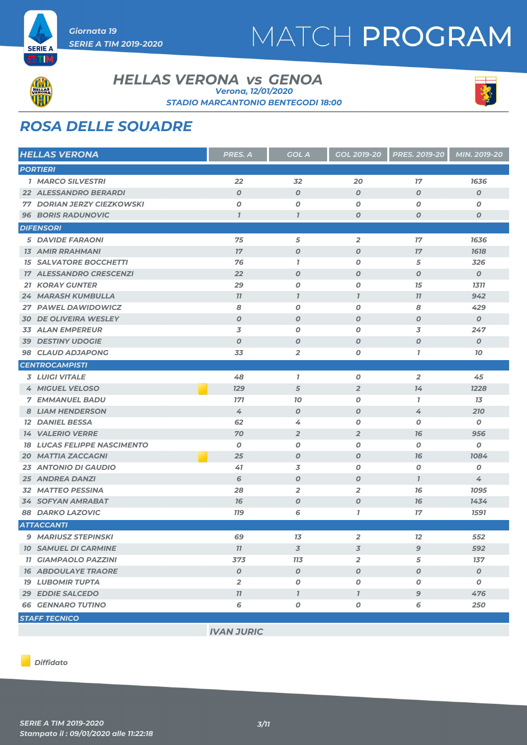



ETIM

#### **HELLAS VERONA** *vs* GENOA *STADIO MARCANTONIO BENTEGODI 18:00 Verona, 12/01/2020*



### *ROSA DELLE SQUADRE*

| <b>HELLAS VERONA</b>               | PRES. A          | <b>GOL A</b>             | <b>GOL 2019-20</b>       | <b>PRES. 2019-20</b> | MIN. 2019-20     |
|------------------------------------|------------------|--------------------------|--------------------------|----------------------|------------------|
| <b>PORTIERI</b>                    |                  |                          |                          |                      |                  |
| <b>1 MARCO SILVESTRI</b>           | 22               | 32                       | 20                       | 17                   | 1636             |
| <b>22 ALESSANDRO BERARDI</b>       | $\boldsymbol{O}$ | $\boldsymbol{O}$         | $\boldsymbol{O}$         | $\boldsymbol{O}$     | $\boldsymbol{o}$ |
| <b>77 DORIAN JERZY CIEZKOWSKI</b>  | O                | O                        | $\boldsymbol{O}$         | O                    | O                |
| <b>96 BORIS RADUNOVIC</b>          | $\overline{1}$   | $\overline{I}$           | $\boldsymbol{0}$         | O                    | 0                |
| <b>DIFENSORI</b>                   |                  |                          |                          |                      |                  |
| <b>5 DAVIDE FARAONI</b>            | 75               | 5                        | $\overline{2}$           | 17                   | 1636             |
| <b>13 AMIR RRAHMANI</b>            | 17               | $\boldsymbol{0}$         | $\boldsymbol{0}$         | 17                   | 1618             |
| <b>15 SALVATORE BOCCHETTI</b>      | 76               | $\mathbf{7}$             | $\boldsymbol{O}$         | 5                    | 326              |
| <b>17 ALESSANDRO CRESCENZI</b>     | 22               | $\boldsymbol{0}$         | $\boldsymbol{0}$         | $\boldsymbol{O}$     | $\boldsymbol{0}$ |
| <b>21 KORAY GUNTER</b>             | 29               | O                        | $\boldsymbol{O}$         | 15                   | 1311             |
| <b>24 MARASH KUMBULLA</b>          | 77               | $\mathbf{I}$             | $\overline{I}$           | 77                   | 942              |
| 27 PAWEL DAWIDOWICZ                | 8                | O                        | $\boldsymbol{O}$         | 8                    | 429              |
| <b>30 DE OLIVEIRA WESLEY</b>       | $\boldsymbol{O}$ | $\boldsymbol{O}$         | $\boldsymbol{0}$         | O                    | $\boldsymbol{o}$ |
| <b>33 ALAN EMPEREUR</b>            | 3                | O                        | $\boldsymbol{O}$         | 3                    | 247              |
| <b>39 DESTINY UDOGIE</b>           | $\boldsymbol{O}$ | $\boldsymbol{O}$         | $\boldsymbol{0}$         | O                    | $\boldsymbol{o}$ |
| 98 CLAUD ADJAPONG                  | 33               | $\overline{2}$           | O                        | $\bf{7}$             | 10               |
| <b>CENTROCAMPISTI</b>              |                  |                          |                          |                      |                  |
| <b>3 LUIGI VITALE</b>              | 48               | $\mathbf{7}$             | $\boldsymbol{0}$         | 2                    | 45               |
| 4 MIGUEL VELOSO                    | <b>129</b>       | 5                        | $\overline{2}$           | 14                   | 1228             |
| <b>7 EMMANUEL BADU</b>             | <b>171</b>       | 10                       | 0                        | $\mathbf{7}$         | 13               |
| <b>8 LIAM HENDERSON</b>            | 4                | $\boldsymbol{0}$         | $\boldsymbol{O}$         | 4                    | 210              |
| <b>12 DANIEL BESSA</b>             | 62               | 4                        | $\boldsymbol{0}$         | O                    | 0                |
| <b>14 VALERIO VERRE</b>            | 70               | $\overline{2}$           | $\overline{2}$           | 76                   | 956              |
| <b>18 LUCAS FELIPPE NASCIMENTO</b> | 0                | 0                        | $\boldsymbol{0}$         | 0                    | 0                |
| <b>20 MATTIA ZACCAGNI</b>          | 25               | O                        | $\boldsymbol{O}$         | 76                   | 1084             |
| <b>23 ANTONIO DI GAUDIO</b>        | 41               | 3                        | $\boldsymbol{O}$         | 0                    | Ο                |
| <b>25 ANDREA DANZI</b>             | 6                | $\boldsymbol{O}$         | $\boldsymbol{0}$         | $\mathbf{I}$         | 4                |
| <b>32 MATTEO PESSINA</b>           | 28               | $\overline{2}$           | $\overline{2}$           | 76                   | 1095             |
| <b>34 SOFYAN AMRABAT</b>           | 76               | $\boldsymbol{O}$         | $\boldsymbol{O}$         | 16                   | 1434             |
| <b>88 DARKO LAZOVIC</b>            | <b>119</b>       | 6                        | $\overline{1}$           | 17                   | 1591             |
| <b>ATTACCANTI</b>                  |                  |                          |                          |                      |                  |
| 9 MARIUSZ STEPINSKI                | 69               | 13                       | $\overline{2}$           | 12                   | 552              |
| <b>10 SAMUEL DI CARMINE</b>        | 77               | $\overline{\mathcal{S}}$ | $\overline{\mathcal{Z}}$ | 9                    | 592              |
| <b>11 GIAMPAOLO PAZZINI</b>        | 373              | <b>113</b>               | $\overline{2}$           | 5                    | 137              |
| <b>16 ABDOULAYE TRAORE</b>         | $\boldsymbol{o}$ | $\boldsymbol{O}$         | $\boldsymbol{O}$         | $\boldsymbol{o}$     | $\boldsymbol{0}$ |
| <b>19 LUBOMIR TUPTA</b>            | $\overline{2}$   | 0                        | 0                        | 0                    | 0                |
| <b>29 EDDIE SALCEDO</b>            | 11               | $\overline{I}$           | $\overline{I}$           | 9                    | 476              |
| <b>66 GENNARO TUTINO</b>           | 6                | O                        | $\pmb{o}$                | 6                    | 250              |
| <b>STAFF TECNICO</b>               |                  |                          |                          |                      |                  |

*IVAN JURIC*

*Diffidato*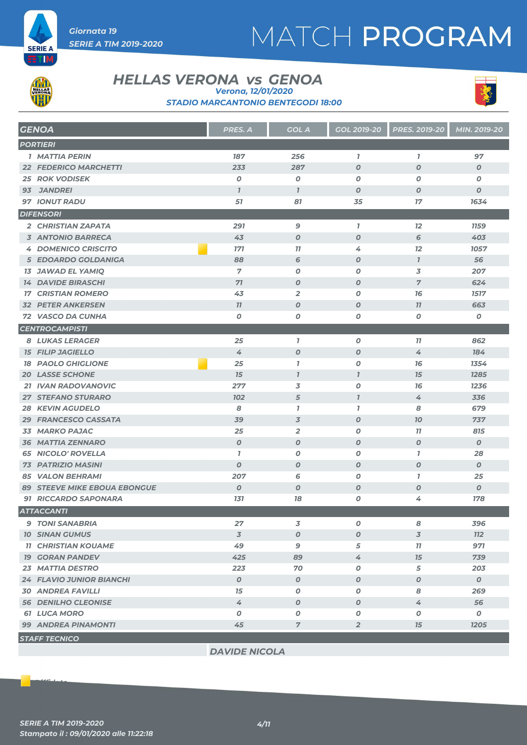



**ETM** 

### **HELLAS VERONA** *vs* GENOA

*Verona, 12/01/2020*

*STADIO MARCANTONIO BENTEGODI 18:00*



|                  | <b>GENOA</b>                        | PRES. A          | <b>GOL A</b>     | GOL 2019-20      | <b>PRES. 2019-20</b> | MIN. 2019-20     |  |
|------------------|-------------------------------------|------------------|------------------|------------------|----------------------|------------------|--|
|                  | <b>PORTIERI</b>                     |                  |                  |                  |                      |                  |  |
|                  | <b>1 MATTIA PERIN</b>               | 187              | 256              | $\mathbf{I}$     | $\mathbf{7}$         | 97               |  |
|                  | <b>22 FEDERICO MARCHETTI</b>        | 233              | 287              | $\boldsymbol{O}$ | $\boldsymbol{O}$     | $\boldsymbol{0}$ |  |
|                  | <b>25 ROK VODISEK</b>               | 0                | $\boldsymbol{o}$ | 0                | $\boldsymbol{0}$     | 0                |  |
| 93               | <b>JANDREI</b>                      | $\overline{I}$   | $\overline{I}$   | $\boldsymbol{O}$ | $\boldsymbol{0}$     | $\boldsymbol{o}$ |  |
|                  | <b>97 IONUT RADU</b>                | 51               | 81               | 35               | 17                   | 1634             |  |
| <b>DIFENSORI</b> |                                     |                  |                  |                  |                      |                  |  |
|                  | 2 CHRISTIAN ZAPATA                  | 291              | 9                | $\mathbf{I}$     | 12                   | <b>1159</b>      |  |
|                  | <b>3 ANTONIO BARRECA</b>            | 43               | O                | $\boldsymbol{O}$ | 6                    | 403              |  |
|                  | <b>4 DOMENICO CRISCITO</b>          | <b>171</b>       | 77               | 4                | 12                   | 1057             |  |
|                  | 5 EDOARDO GOLDANIGA                 | 88               | 6                | $\boldsymbol{O}$ | $\mathbf{7}$         | 56               |  |
|                  | <b>13 JAWAD EL YAMIQ</b>            | $\overline{7}$   | 0                | 0                | 3                    | 207              |  |
|                  | <b>14 DAVIDE BIRASCHI</b>           | 71               | $\boldsymbol{o}$ | $\boldsymbol{O}$ | $\overline{7}$       | 624              |  |
|                  | <b>17 CRISTIAN ROMERO</b>           | 43               | $\overline{2}$   | 0                | 76                   | 1517             |  |
|                  | <b>32 PETER ANKERSEN</b>            | 77               | O                | $\boldsymbol{O}$ | 77                   | 663              |  |
|                  | 72 VASCO DA CUNHA                   | 0                | 0                | Ο                | 0                    | ο                |  |
|                  | <b>CENTROCAMPISTI</b>               |                  |                  |                  |                      |                  |  |
|                  | <b>8 LUKAS LERAGER</b>              | 25               | $\mathbf{I}$     | O                | 11                   | 862              |  |
|                  | <b>15 FILIP JAGIELLO</b>            | 4                | $\boldsymbol{O}$ | $\boldsymbol{O}$ | 4                    | 184              |  |
|                  | <b>18 PAOLO GHIGLIONE</b>           | 25               | $\bf{7}$         | 0                | 76                   | 1354             |  |
|                  | <b>20 LASSE SCHONE</b>              | 15               | $\mathbf{I}$     | $\overline{I}$   | 15                   | 1285             |  |
|                  | 21 IVAN RADOVANOVIC                 | 277              | 3                | 0                | 76                   | 1236             |  |
|                  | <b>27 STEFANO STURARO</b>           | 102              | 5                | $\mathbf{I}$     | 4                    | 336              |  |
|                  | <b>28 KEVIN AGUDELO</b>             | 8                | $\mathbf{7}$     | $\overline{1}$   | 8                    | 679              |  |
|                  | 29 FRANCESCO CASSATA                | 39               | 3                | 0                | 10                   | 737              |  |
|                  | 33 MARKO PAJAC                      | 25               | $\overline{2}$   | 0                | 77                   | 815              |  |
|                  | <b>36 MATTIA ZENNARO</b>            | $\boldsymbol{O}$ | $\boldsymbol{O}$ | $\boldsymbol{0}$ | $\boldsymbol{O}$     | $\boldsymbol{o}$ |  |
|                  | <b>65 NICOLO' ROVELLA</b>           | $\overline{1}$   | O                | 0                | $\overline{1}$       | 28               |  |
|                  | <b>73 PATRIZIO MASINI</b>           | $\boldsymbol{O}$ | O                | O                | $\boldsymbol{0}$     | $\boldsymbol{0}$ |  |
|                  | <b>85 VALON BEHRAMI</b>             | 207              | 6                | 0                | $\mathbf{7}$         | 25               |  |
|                  | <b>89 STEEVE MIKE EBOUA EBONGUE</b> | $\boldsymbol{0}$ | $\boldsymbol{O}$ | O                | $\boldsymbol{0}$     | $\boldsymbol{o}$ |  |
|                  | <b>91 RICCARDO SAPONARA</b>         | 131              | 18               | Ο                | 4                    | <b>178</b>       |  |
|                  | <b>ATTACCANTI</b>                   |                  |                  |                  |                      |                  |  |
|                  | <b>9 TONI SANABRIA</b>              | 27               | 3                | 0                | 8                    | 396              |  |
|                  | <b>10 SINAN GUMUS</b>               | 3                | 0                | O                | 3                    | 112              |  |
|                  | <b>11 CHRISTIAN KOUAME</b>          | 49               | 9                | 5                | 77                   | 971              |  |
|                  | <b>19 GORAN PANDEV</b>              | 425              | 89               | 4                | 15                   | 739              |  |
|                  | <b>23 MATTIA DESTRO</b>             | 223              | 70               | 0                | 5                    | 203              |  |
|                  | <b>24 FLAVIO JUNIOR BIANCHI</b>     | $\boldsymbol{0}$ | $\pmb{o}$        | O                | $\boldsymbol{o}$     | $\boldsymbol{0}$ |  |
|                  | <b>30 ANDREA FAVILLI</b>            | 15               | 0                | 0                | 8                    | 269              |  |
|                  | <b>56 DENILHO CLEONISE</b>          | 4                | 0                | O                | 4                    | 56               |  |
|                  | <b>61 LUCA MORO</b>                 | 0                | 0                | Ο                | 0                    | 0                |  |
|                  | <b>99 ANDREA PINAMONTI</b>          | 45               | $\overline{7}$   | $\overline{2}$   | 15                   | 1205             |  |
|                  | <b>STAFF TECNICO</b>                |                  |                  |                  |                      |                  |  |
|                  |                                     |                  |                  |                  |                      |                  |  |

*DAVIDE NICOLA*

*Diffidato*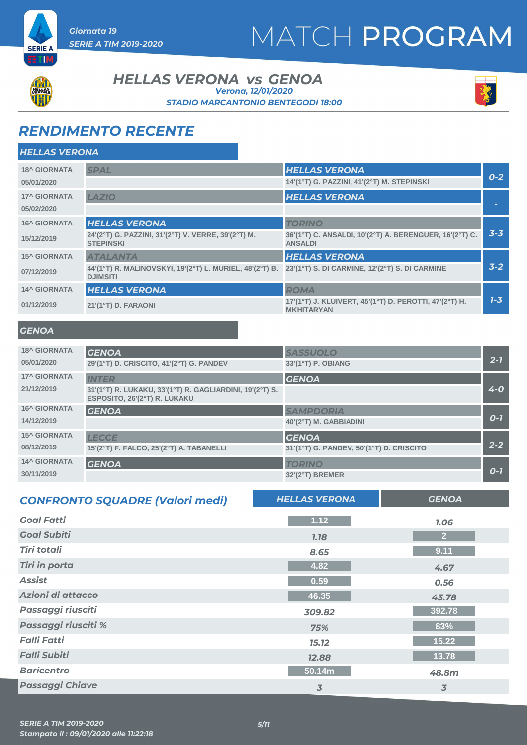



ETIM

*HELLAS VERONA*

#### **HELLAS VERONA** *vs* GENOA *Verona, 12/01/2020*

*STADIO MARCANTONIO BENTEGODI 18:00*



### *RENDIMENTO RECENTE*

| <b>FILLAS VERUNA</b> |                                                                                                                            |                                                                             |         |
|----------------------|----------------------------------------------------------------------------------------------------------------------------|-----------------------------------------------------------------------------|---------|
| <b>18^ GIORNATA</b>  | <b>SPAL</b>                                                                                                                | <b>HELLAS VERONA</b>                                                        |         |
| 05/01/2020           |                                                                                                                            | 14'(1°T) G. PAZZINI, 41'(2°T) M. STEPINSKI                                  | $0 - 2$ |
| <b>17^ GIORNATA</b>  | LAZIO                                                                                                                      | <b>HELLAS VERONA</b>                                                        |         |
| 05/02/2020           |                                                                                                                            |                                                                             |         |
| <b>16^ GIORNATA</b>  | <b>HELLAS VERONA</b>                                                                                                       | <b>TORINO</b>                                                               |         |
| 15/12/2019           | 24'(2°T) G. PAZZINI, 31'(2°T) V. VERRE, 39'(2°T) M.<br><b>STEPINSKI</b>                                                    | 36'(1°T) C. ANSALDI, 10'(2°T) A. BERENGUER, 16'(2°T) C.<br><b>ANSALDI</b>   | $3 - 3$ |
| <b>15^ GIORNATA</b>  | <b>ATALANTA</b>                                                                                                            | <b>HELLAS VERONA</b>                                                        |         |
| 07/12/2019           | 44'(1°T) R. MALINOVSKYI, 19'(2°T) L. MURIEL, 48'(2°T) B. 23'(1°T) S. DI CARMINE, 12'(2°T) S. DI CARMINE<br><b>DJIMSITI</b> |                                                                             | $3-2$   |
| <b>14^ GIORNATA</b>  | <b>HELLAS VERONA</b>                                                                                                       | <b>ROMA</b>                                                                 |         |
| 01/12/2019           | 21'(1°T) D. FARAONI                                                                                                        | 17'(1°T) J. KLUIVERT, 45'(1°T) D. PEROTTI, 47'(2°T) H.<br><b>MKHITARYAN</b> | $1 - 3$ |
|                      |                                                                                                                            |                                                                             |         |

#### *GENOA*

| <b>18^ GIORNATA</b> | <b>GENOA</b>                                                                             | <b>SASSUOLO</b>                          |         |
|---------------------|------------------------------------------------------------------------------------------|------------------------------------------|---------|
| 05/01/2020          | 29'(1°T) D. CRISCITO, 41'(2°T) G. PANDEV                                                 | 33'(1°T) P. OBIANG                       | $2 - 7$ |
| <b>17^ GIORNATA</b> | <b>INTER</b>                                                                             | <b>GENOA</b>                             |         |
| 21/12/2019          | 31'(1°T) R. LUKAKU, 33'(1°T) R. GAGLIARDINI, 19'(2°T) S.<br>ESPOSITO, 26'(2°T) R. LUKAKU |                                          | $4 - 0$ |
| <b>16^ GIORNATA</b> | <b>GENOA</b>                                                                             | <b>SAMPDORIA</b>                         |         |
| 14/12/2019          |                                                                                          | 40'(2°T) M. GABBIADINI                   | $0 - 7$ |
| <b>15^ GIORNATA</b> | <b>LECCE</b>                                                                             | <b>GENOA</b>                             |         |
| 08/12/2019          | 15'(2°T) F. FALCO, 25'(2°T) A. TABANELLI                                                 | 31'(1°T) G. PANDEV, 50'(1°T) D. CRISCITO | $2 - 2$ |
| <b>14^ GIORNATA</b> | <b>GENOA</b>                                                                             | <b>TORINO</b>                            |         |
| 30/11/2019          |                                                                                          | $32'(2°T)$ BREMER                        | $O - 7$ |
|                     |                                                                                          |                                          |         |

| <b>CONFRONTO SQUADRE (Valori medi)</b> | <b>HELLAS VERONA</b> | <b>GENOA</b>   |
|----------------------------------------|----------------------|----------------|
| <b>Goal Fatti</b>                      | 1.12                 | 1.06           |
| <b>Goal Subiti</b>                     | <b>7.78</b>          | 2 <sup>2</sup> |
| <b>Tiri totali</b>                     | 8.65                 | 9.11           |
| <b>Tiri in porta</b>                   | 4.82                 | 4.67           |
| <b>Assist</b>                          | 0.59                 | 0.56           |
| Azioni di attacco                      | 46.35                | 43.78          |
| Passaggi riusciti                      | 309.82               | 392.78         |
| Passaggi riusciti %                    | 75%                  | 83%            |
| <b>Falli Fatti</b>                     | 15.12                | 15.22          |
| <b>Falli Subiti</b>                    | 12.88                | 13.78          |
| <b>Baricentro</b>                      | 50.14m               | 48.8m          |
| <b>Passaggi Chiave</b>                 | 3                    | 3              |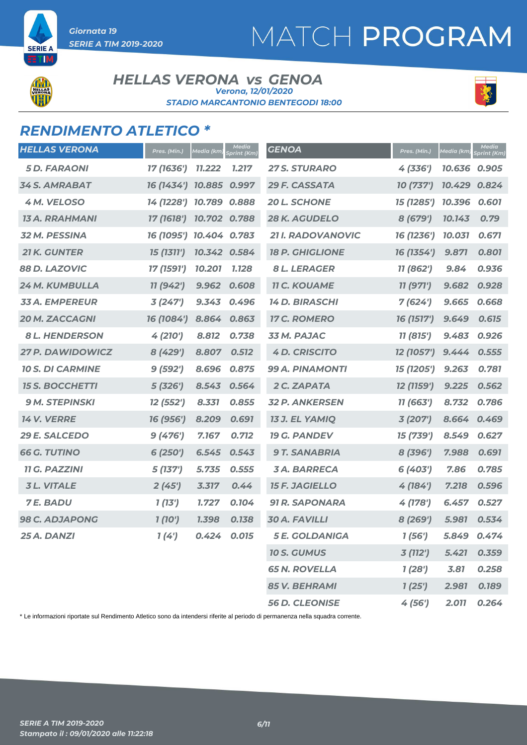# MATCH PROGRAM

**SERIE A** TI

#### **HELLAS VERONA** *vs* GENOA *STADIO MARCANTONIO BENTEGODI 18:00 Verona, 12/01/2020*



### *RENDIMENTO ATLETICO \**

| <b>HELLAS VERONA</b>    | Pres. (Min.)            | <b>Media</b> (km) | Media<br>Sprint (Km) | <b>GENOA</b>           | Pres. (Min.) | Media (km) | Media<br><b>Sprint</b> (Km) |
|-------------------------|-------------------------|-------------------|----------------------|------------------------|--------------|------------|-----------------------------|
| <b>5D. FARAONI</b>      | 17 (1636')              | <b>11.222</b>     | 1.217                | <b>27 S. STURARO</b>   | 4 (336')     | 10.636     | 0.905                       |
| <b>34 S. AMRABAT</b>    | 16 (1434') 10.885       |                   | 0.997                | 29 F. CASSATA          | 10 (737')    | 10.429     | 0.824                       |
| 4 M. VELOSO             | 14 (1228') 10.789 0.888 |                   |                      | <b>20 L. SCHONE</b>    | 15 (1285')   | 10.396     | 0.601                       |
| 13 A. RRAHMANI          | 17 (1618')              | 10.702 0.788      |                      | <b>28 K. AGUDELO</b>   | 8 (679')     | 10.143     | 0.79                        |
| <b>32 M. PESSINA</b>    | 16 (1095') 10.404 0.783 |                   |                      | 21 I. RADOVANOVIC      | 16 (1236')   | 10.031     | 0.671                       |
| <b>21 K. GUNTER</b>     | 15 (1311')              | 10.342 0.584      |                      | <b>18 P. GHIGLIONE</b> | 16 (1354')   | 9.871      | 0.801                       |
| 88 D. LAZOVIC           | 17 (1591')              | 10.201            | 1.128                | <b>8 L. LERAGER</b>    | 11 (862')    | 9.84       | 0.936                       |
| 24 M. KUMBULLA          | 11 (942')               | 9.962             | 0.608                | <b>11 C. KOUAME</b>    | 11 (971')    | 9.682      | 0.928                       |
| <b>33 A. EMPEREUR</b>   | 3(247)                  | 9.343             | 0.496                | <b>14 D. BIRASCHI</b>  | 7(624)       | 9.665      | 0.668                       |
| <b>20 M. ZACCAGNI</b>   | 16 (1084')              | 8.864             | 0.863                | <b>17 C. ROMERO</b>    | 16 (1517')   | 9.649      | 0.615                       |
| <b>8 L. HENDERSON</b>   | 4(210')                 | 8.812             | 0.738                | 33 M. PAJAC            | 11 (815')    | 9.483      | 0.926                       |
| <b>27 P. DAWIDOWICZ</b> | 8 (429')                | 8.807             | 0.512                | <b>4 D. CRISCITO</b>   | 12 (1057')   | 9.444      | 0.555                       |
| <b>10 S. DI CARMINE</b> | 9(592')                 | 8.696             | 0.875                | 99 A. PINAMONTI        | 15 (1205')   | 9.263      | 0.781                       |
| <b>15 S. BOCCHETTI</b>  | 5(326')                 | 8.543             | 0.564                | 2 C. ZAPATA            | 12 (1159')   | 9.225      | 0.562                       |
| <b>9 M. STEPINSKI</b>   | 12 (552')               | 8.331             | 0.855                | <b>32 P. ANKERSEN</b>  | 11 (663')    | 8.732      | 0.786                       |
| <b>14 V. VERRE</b>      | 16 (956')               | 8.209             | 0.691                | <b>13 J. EL YAMIQ</b>  | 3(207)       | 8.664      | 0.469                       |
| 29 E. SALCEDO           | 9(476')                 | 7.167             | 0.712                | <b>19 G. PANDEV</b>    | 15 (739')    | 8.549      | 0.627                       |
| <b>66 G. TUTINO</b>     | 6(250')                 | 6.545             | 0.543                | <b>9 T. SANABRIA</b>   | 8 (396')     | 7.988      | 0.691                       |
| <b>11 G. PAZZINI</b>    | 5(137)                  | 5.735             | 0.555                | <b>3A. BARRECA</b>     | 6 (403')     | 7.86       | 0.785                       |
| <b>3L. VITALE</b>       | 2(45')                  | 3.317             | 0.44                 | <b>15 F. JAGIELLO</b>  | 4(184)       | 7.218      | 0.596                       |
| <b>7E. BADU</b>         | 1(13')                  | 1.727             | 0.104                | <b>91 R. SAPONARA</b>  | 4 (178')     | 6.457      | 0.527                       |
| <b>98 C. ADJAPONG</b>   | 1(10')                  | 1.398             | 0.138                | <b>30 A. FAVILLI</b>   | 8(269')      | 5.981      | 0.534                       |
| 25 A. DANZI             | 1(4')                   | 0.424             | 0.015                | <b>5 E. GOLDANIGA</b>  | 1(56')       | 5.849      | 0.474                       |
|                         |                         |                   |                      | <b>10 S. GUMUS</b>     | 3 (112')     | 5.421      | 0.359                       |
|                         |                         |                   |                      | <b>65 N. ROVELLA</b>   | 1(28')       | 3.81       | 0.258                       |
|                         |                         |                   |                      | <b>85 V. BEHRAMI</b>   | 1(25')       | 2.981      | 0.189                       |
|                         |                         |                   |                      | <b>56 D. CLEONISE</b>  | 4(56)        | 2.011      | 0.264                       |

\* Le informazioni riportate sul Rendimento Atletico sono da intendersi riferite al periodo di permanenza nella squadra corrente.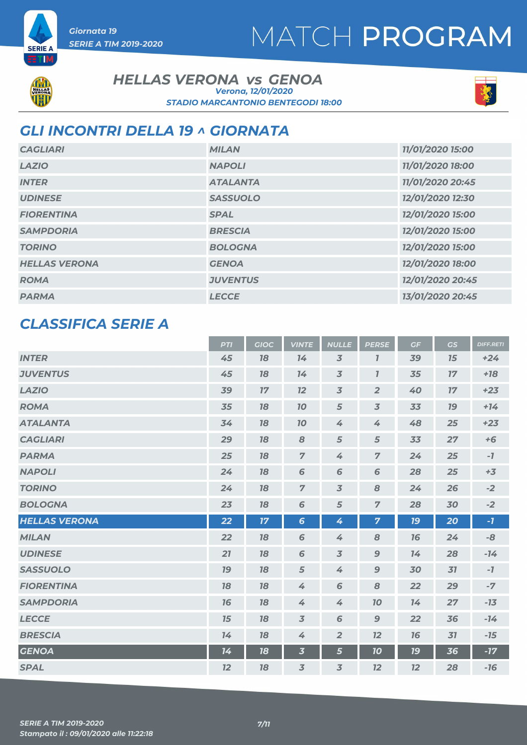# MATCH PROGRAM



**SERIE A** a mu

### **HELLAS VERONA** *vs* GENOA *Verona, 12/01/2020*



### *STADIO MARCANTONIO BENTEGODI 18:00*

*GLI INCONTRI DELLA 19 ^ GIORNATA*

| <b>CAGLIARI</b>      | <b>MILAN</b>    | 11/01/2020 15:00 |
|----------------------|-----------------|------------------|
| <b>LAZIO</b>         | <b>NAPOLI</b>   | 11/01/2020 18:00 |
| <b>INTER</b>         | <b>ATALANTA</b> | 11/01/2020 20:45 |
| <b>UDINESE</b>       | <b>SASSUOLO</b> | 12/01/2020 12:30 |
| <b>FIORENTINA</b>    | <b>SPAL</b>     | 12/01/2020 15:00 |
| <b>SAMPDORIA</b>     | <b>BRESCIA</b>  | 12/01/2020 15:00 |
| <b>TORINO</b>        | <b>BOLOGNA</b>  | 12/01/2020 15:00 |
| <b>HELLAS VERONA</b> | <b>GENOA</b>    | 12/01/2020 18:00 |
| <b>ROMA</b>          | <b>JUVENTUS</b> | 12/01/2020 20:45 |
| <b>PARMA</b>         | <b>LECCE</b>    | 13/01/2020 20:45 |

### *CLASSIFICA SERIE A*

|                      | <b>PTI</b> | <b>GIOC</b>     | <b>VINTE</b>            | <b>NULLE</b>   | <b>PERSE</b>   | GF        | GS     | <b>DIFF.RETI</b> |
|----------------------|------------|-----------------|-------------------------|----------------|----------------|-----------|--------|------------------|
| <b>INTER</b>         | 45         | 18              | 14                      | $\overline{3}$ | $\overline{I}$ | 39        | 15     | $+24$            |
| <b>JUVENTUS</b>      | 45         | 18              | 14                      | $\overline{3}$ | $\overline{1}$ | 35        | 17     | $+18$            |
| <b>LAZIO</b>         | 39         | $17\,$          | 12                      | $\overline{3}$ | $\overline{2}$ | 40        | $17\,$ | $+23$            |
| <b>ROMA</b>          | 35         | 18              | 10                      | 5              | $\overline{3}$ | 33        | 19     | $+14$            |
| <b>ATALANTA</b>      | 34         | 18              | 10                      | 4              | 4              | 48        | 25     | $+23$            |
| <b>CAGLIARI</b>      | 29         | 18              | 8                       | 5              | 5              | 33        | 27     | $+6$             |
| <b>PARMA</b>         | 25         | 18              | $\overline{7}$          | 4              | $\overline{z}$ | 24        | 25     | $-7$             |
| <b>NAPOLI</b>        | 24         | 18              | 6                       | 6              | 6              | 28        | 25     | $+3$             |
| <b>TORINO</b>        | 24         | 18              | $\overline{7}$          | $\overline{3}$ | 8              | 24        | 26     | $-2$             |
| <b>BOLOGNA</b>       | 23         | 18              | 6                       | $\sqrt{5}$     | $\overline{7}$ | 28        | 30     | $-2$             |
| <b>HELLAS VERONA</b> | 22         | $17\phantom{.}$ | $6\phantom{1}6$         | 4              | $\overline{7}$ | <b>19</b> | 20     | $-7$             |
| <b>MILAN</b>         | 22         | 18              | 6                       | 4              | 8              | 16        | 24     | -8               |
| <b>UDINESE</b>       | 21         | 18              | 6                       | $\overline{3}$ | $\overline{9}$ | 14        | 28     | $-14$            |
| <b>SASSUOLO</b>      | 19         | 18              | $\sqrt{5}$              | 4              | $\mathbf{9}$   | 30        | 31     | $-7$             |
| <b>FIORENTINA</b>    | 18         | 18              | 4                       | $\sqrt{6}$     | $\pmb{8}$      | 22        | 29     | $-7$             |
| <b>SAMPDORIA</b>     | 16         | 18              | 4                       | 4              | 70             | 14        | 27     | $-13$            |
| <b>LECCE</b>         | 15         | 18              | $\overline{3}$          | 6              | $\mathbf{9}$   | 22        | 36     | $-14$            |
| <b>BRESCIA</b>       | 14         | 18              | 4                       | $\overline{2}$ | 12             | 76        | 31     | $-15$            |
| <b>GENOA</b>         | 14         | 18              | $\overline{\mathbf{3}}$ | 5              | 10             | <b>19</b> | 36     | $-17$            |
| <b>SPAL</b>          | 12         | 18              | $\overline{3}$          | $\overline{3}$ | 12             | 12        | 28     | $-16$            |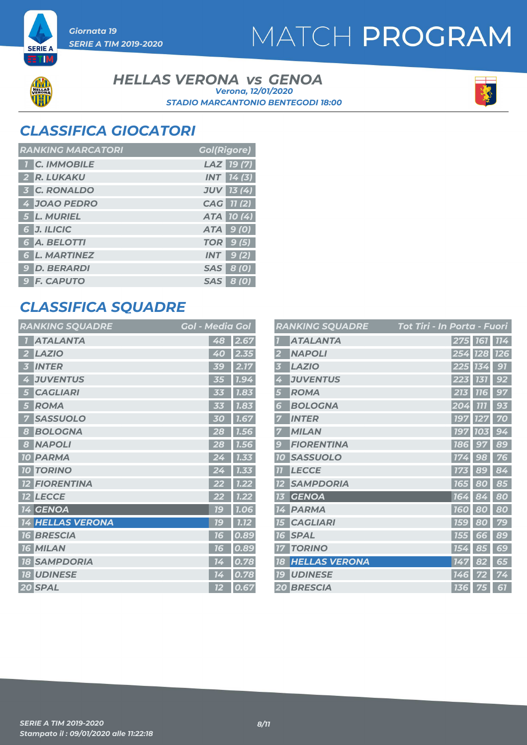# MATCH PROGRAM



**SERIE A** ETIM

> **HELLAS VERONA** *vs* GENOA *STADIO MARCANTONIO BENTEGODI 18:00 Verona, 12/01/2020*



### *CLASSIFICA GIOCATORI*

| <b>RANKING MARCATORI</b> | <b>Gol(Rigore)</b> |
|--------------------------|--------------------|
| <b>T</b> C. IMMOBILE     | LAZ 19(7)          |
| 2 R. LUKAKU              | <b>INT</b> 14(3)   |
| <b>3 C. RONALDO</b>      | <b>JUV</b> 13 (4)  |
| 4 JOAO PEDRO             | CAG 11(2)          |
| 5 L. MURIEL              | ATA 10(4)          |
| 6 J. ILICIC              | ATA 9 (0)          |
| 6 A. BELOTTI             | <b>TOR</b> 9 (5)   |
| <b>6 L. MARTINEZ</b>     | $INT$ 9(2)         |
| <b>9 D. BERARDI</b>      | <b>SAS</b> 8 (0)   |
| <b>9 F. CAPUTO</b>       | SAS 8 (0)          |

### *CLASSIFICA SQUADRE*

| <b>RANKING SQUADRE</b>     | <b>Gol - Media Gol</b> |
|----------------------------|------------------------|
| <b>ATALANTA</b>            | 48<br>2.67             |
| <b>LAZIO</b>               | 2.35<br>40             |
| <b>INTER</b><br>3          | 2.17<br>39             |
| <b>JUVENTUS</b><br>4       | 1.94<br>35             |
| <b>CAGLIARI</b><br>5       | 1.83<br><b>MS</b>      |
| <b>ROMA</b><br>5           | 1.83<br>33             |
| <b>SASSUOLO</b><br>7       | 1.67<br>30             |
| <b>BOLOGNA</b><br>8        | 7.56<br>28             |
| <b>NAPOLI</b><br>8         | 28<br>1.56             |
| <b>PARMA</b><br><b>10</b>  | 24<br>1.33             |
| <b>TORINO</b><br><b>10</b> | 1.33                   |
| <b>FIORENTINA</b>          | 1.22                   |
| <b>LECCE</b><br><b>12</b>  | 1.22<br>22             |
| 14 GENOA                   | <b>79</b><br>1.06      |
| <b>14 HELLAS VERONA</b>    | 1.12<br><u> 16</u>     |
| <b>BRESCIA</b><br>16       | 0.89<br>76             |
| <b>16 MILAN</b>            | 0.89<br>76             |
| <b>18 SAMPDORIA</b>        | 0.78<br>14             |
| <b>18 UDINESE</b>          | 0.78<br>14             |
| 20 SPAL                    | 12<br>0.67             |

|                  | <b>RANKING SQUADRE</b> | Tot Tiri - In Porta - Fuori |                 |            |
|------------------|------------------------|-----------------------------|-----------------|------------|
|                  | <b>ATALANTA</b>        | 275                         | <b>161</b>      | <b>114</b> |
| 2                | <b>NAPOLI</b>          | 254                         | <b>128</b>      | <b>126</b> |
| 3                | <b>LAZIO</b>           | 225                         | 134             | 91         |
| 4                | <b>JUVENTUS</b>        | 223                         | 131             | 92         |
| 5                | <b>ROMA</b>            | 213                         | <b>116</b>      | 97         |
| 6                | <b>BOLOGNA</b>         | 204                         | 777             | 93         |
|                  | <b>INTER</b>           | 197                         | 127             | 70         |
|                  | <b>MILAN</b>           | 197                         | <b>10</b><br>)3 | 94         |
| $\boldsymbol{g}$ | <b>FIORENTINA</b>      | <b>186</b>                  | 97              | 89         |
| <b>10</b>        | <b>SASSUOLO</b>        | 174                         | 98              | 76         |
| 77               | <b>LECCE</b>           | 173                         | 89              | 84         |
| 12               | <b>SAMPDORIA</b>       | <b>165</b>                  | 80              | 85         |
| 13               | <b>GENOA</b>           | 164                         | ۵<br>Ą          | 80         |
| 14               | <b>PARMA</b>           | <b>160</b>                  | 80              | 80         |
| 75               | <b>CAGLIARI</b>        | <b>159</b>                  | 80              | 79         |
| 16               | <b>SPAL</b>            | 155                         | 66              | 89         |
| 77               | <b>TORINO</b>          | 154                         | 85              | 69         |
| 18               | <b>HELLAS VERONA</b>   | 147                         | 82              | 65         |
| 19               | <b>UDINESE</b>         | 146                         | 72              | 74         |
|                  | <b>20 BRESCIA</b>      | <b>136</b>                  | 75              | 61         |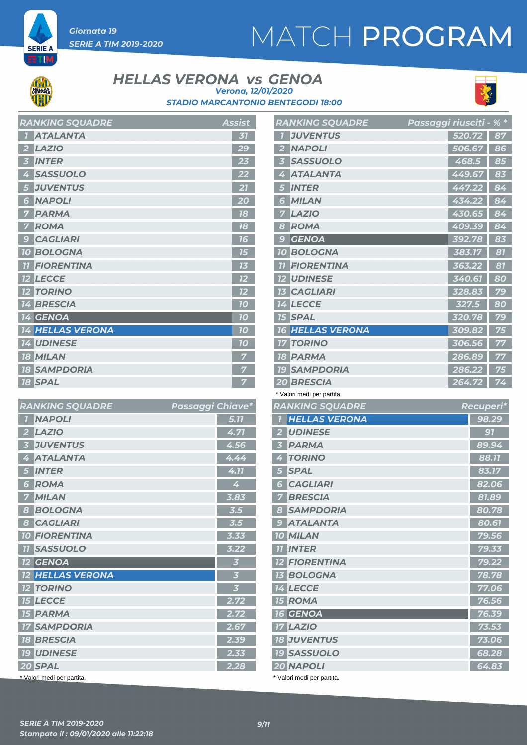# MATCH PROGRAM



**SERIE A** ETIM

#### **HELLAS VERONA** *vs* GENOA *Verona, 12/01/2020*





|                         | <b>KAIYAIIYU JUUADRE</b> | ASSISL |
|-------------------------|--------------------------|--------|
| $\mathbf{I}$            | <b>ATALANTA</b>          | 31     |
| $\overline{\mathbf{2}}$ | LAZIO                    | 29     |
| $\overline{\mathbf{3}}$ | <b>INTER</b>             | 23     |
|                         | 4 SASSUOLO               | 22     |
|                         | 5 JUVENTUS               | 21     |
| $6\overline{6}$         | <b>NAPOLI</b>            | 20     |
| $\overline{\mathbf{z}}$ | <b>PARMA</b>             | 18     |
| $\overline{7}$          | <b>ROMA</b>              | 18     |
| $\overline{9}$          | <b>CAGLIARI</b>          | 16     |
|                         | <b>10 BOLOGNA</b>        | 15     |
|                         | <b>11 FIORENTINA</b>     | 13     |
|                         | <b>12 LECCE</b>          | 12     |
|                         | <b>12 TORINO</b>         | 12     |
|                         | <b>14 BRESCIA</b>        | 10     |
|                         | <b>14 GENOA</b>          | 70     |
|                         | <b>14 HELLAS VERONA</b>  | 10     |
|                         | <b>14 UDINESE</b>        | 10     |
|                         | <b>18 MILAN</b>          | 7      |
|                         | <b>18 SAMPDORIA</b>      | 7      |
|                         | <b>18 SPAL</b>           | 7      |

*RANKING SQUADRE Assist*

| <b>RANKING SQUADRE</b>                     | Passaggi Chiave* |                         |
|--------------------------------------------|------------------|-------------------------|
| <b>NAPOLI</b><br>$\overline{1}$            |                  | 5.77                    |
| <b>LAZIO</b><br>2                          |                  | 4.71                    |
| <b>JUVENTUS</b><br>$\overline{\mathbf{3}}$ |                  | 4.56                    |
| <b>ATALANTA</b><br>4                       |                  | 4.44                    |
| <b>INTER</b><br>5                          |                  | 4.11                    |
| <b>ROMA</b><br>6                           |                  | 4                       |
| <b>MILAN</b><br>7                          |                  | 3.83                    |
| <b>BOLOGNA</b><br>8                        |                  | 3.5                     |
| <b>CAGLIARI</b><br>8                       |                  | 3.5                     |
| <b>10 FIORENTINA</b>                       |                  | 3.33                    |
| <b>11 SASSUOLO</b>                         |                  | 3.22                    |
| $12$ GENOA                                 |                  | $\overline{\mathbf{3}}$ |
| <b>12 HELLAS VERONA</b>                    |                  | $\overline{\mathbf{3}}$ |
| <b>12 TORINO</b>                           |                  | $\overline{\mathbf{3}}$ |
| <b>15 LECCE</b>                            |                  | 2.72                    |
| <b>15 PARMA</b>                            |                  | 2.72                    |
| <b>17 SAMPDORIA</b>                        |                  | 2.67                    |
| <b>18 BRESCIA</b>                          |                  | 2.39                    |
| <b>19 UDINESE</b>                          |                  | 2.33                    |
| 20 SPAL                                    |                  | 2.28                    |
| * Valori medi per partita.                 |                  |                         |

| <b>RANKING SQUADRE</b>                     | Passaggi riusciti | $%$ * |
|--------------------------------------------|-------------------|-------|
| <b>JUVENTUS</b>                            | 520.72            | 87    |
| <b>NAPOLI</b><br>$\overline{\mathbf{2}}$   | 506.67            | 86    |
| <b>SASSUOLO</b><br>$\overline{\mathbf{3}}$ | 468.5             | 85    |
| <b>ATALANTA</b><br>4                       | 449.67            | 83    |
| <b>INTER</b><br>5                          | 447.22            | 84    |
| <b>MILAN</b><br>6                          | 434.22            | 84    |
| <b>LAZIO</b><br>7                          | 430.65            | 84    |
| <b>ROMA</b><br>8                           | 409.39            | 84    |
| <b>GENOA</b><br>9                          | 392.78            | 83    |
| <b>BOLOGNA</b><br><b>10</b>                | 383.17            | 81    |
| <b>FIORENTINA</b><br>77                    | 363.22            | 81    |
| <b>12 UDINESE</b>                          | 340.61            | 80    |
| <b>13 CAGLIARI</b>                         | 328.83            | 79    |
| <b>14 LECCE</b>                            | 327.5             | 80    |
| <b>15 SPAL</b>                             | 320.78            | 79    |
| <b>16 HELLAS VERONA</b>                    | 309.82            | 75    |
| <b>17 TORINO</b>                           | 306.56            | 77    |
| <b>18 PARMA</b>                            | 286.89            | 77    |
| <b>19 SAMPDORIA</b>                        | 286.22            | 75    |
| <b>20 BRESCIA</b>                          | 264.72            | 74    |
|                                            |                   |       |

| * Valori medi per partita. |  |  |
|----------------------------|--|--|
|                            |  |  |

| <b>RANKING SQUADRE</b>          | Recuperi* |
|---------------------------------|-----------|
| <b>HELLAS VERONA</b>            | 98.29     |
| <b>UDINESE</b>                  | 91        |
| <b>PARMA</b><br>3               | 89.94     |
| <b>TORINO</b><br>4              | 88.11     |
| <b>SPAL</b>                     | 83.17     |
| <b>CAGLIARI</b><br>6            | 82.06     |
| <b>BRESCIA</b><br>7             | 81.89     |
| <b>SAMPDORIA</b><br>8           | 80.78     |
| <b>ATALANTA</b><br>9            | 80.61     |
| <b>MILAN</b><br>10 <sup>1</sup> | 79.56     |
| <b>INTER</b><br><b>77</b>       | 79.33     |
| <b>12 FIORENTINA</b>            | 79.22     |
| <b>13 BOLOGNA</b>               | 78.78     |
| <b>14 LECCE</b>                 | 77.06     |
| <b>15 ROMA</b>                  | 76.56     |
| <b>16 GENOA</b>                 | 76.39     |
| <b>17 LAZIO</b>                 | 73.53     |
| <b>18 JUVENTUS</b>              | 73.06     |
| <b>19 SASSUOLO</b>              | 68.28     |
| 20 NAPOLI                       | 64.83     |
|                                 |           |

Valori medi per partita.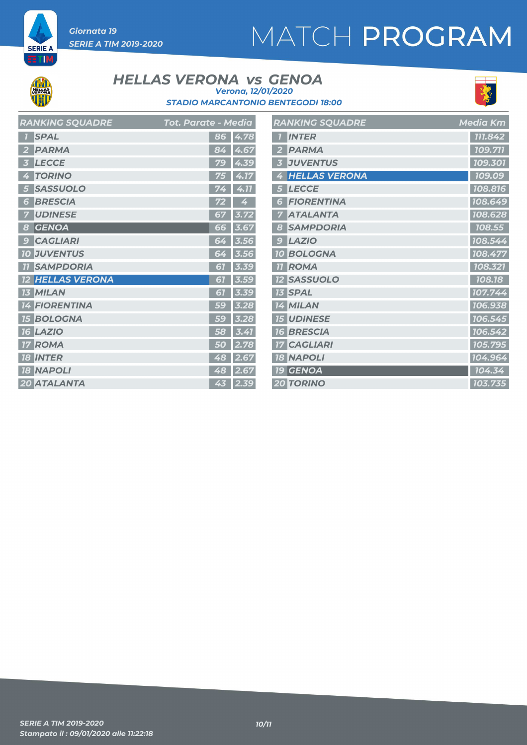# MATCH PROGRAM



**SERIE A** ETIM

#### **HELLAS VERONA** *vs* GENOA *Verona, 12/01/2020*





| RANKING SQUADRE                 | Tot. Parate - Media |
|---------------------------------|---------------------|
| <b>SPAL</b>                     | 86<br>4.78          |
| <b>PARMA</b>                    | 84<br>4.67          |
| <b>LECCE</b>                    | 79<br>4.39          |
| <b>TORINO</b><br>4              | 75<br>4.17          |
| <b>SASSUOLO</b>                 | 4.11                |
| <b>BRESCIA</b><br>Б             | Z,                  |
| <b>UDINESE</b>                  | 67<br>3.72          |
| <b>GENOA</b><br>8               | 66<br>3.67          |
| <b>CAGLIARI</b><br>$\epsilon$   | 64<br>3.56          |
| <b>JUVENTUS</b><br>70           | 3.56<br>64          |
| <b>SAMPDORIA</b><br>77          | 3.39<br>51          |
| <b>HELLAS VERONA</b>            | 67<br>3.59          |
| <b>13 MILAN</b>                 | 3.39<br>61          |
| <b>FIORENTINA</b><br>14         | 3.28<br>59          |
| <b>BOLOGNA</b><br>15            | 3.28<br>59          |
| <b>LAZIO</b><br>16              | 3.41<br>58          |
| <b>ROMA</b>                     | 2.78<br>50          |
| <b>INTER</b><br>18 <sup>1</sup> | 48<br>2.67          |
| <b>18 NAPOLI</b>                | 48<br>2.67          |
| 20 ATALANTA                     | 43<br>2.39          |

|                 | <b>RANKING SQUADRE</b> | <b>Media Km</b> |
|-----------------|------------------------|-----------------|
|                 | <b>INTER</b>           | 111.842         |
| 2               | <b>PARMA</b>           | 109.711         |
| 3               | <b>JUVENTUS</b>        | 109.301         |
| 4               | <b>HELLAS VERONA</b>   | 109.09          |
| 5               | <b>LECCE</b>           | 108.816         |
| 6               | <b>FIORENTINA</b>      | 108.649         |
|                 | <b>ATALANTA</b>        | 108.628         |
| 8               | <b>SAMPDORIA</b>       | 108.55          |
| 9               | <b>LAZIO</b>           | 108.544         |
| <b>10</b>       | <b>BOLOGNA</b>         | 108.477         |
| $\overline{11}$ | ROMA                   | 108.321         |
|                 | <b>12 SASSUOLO</b>     | 108.18          |
|                 | <b>13 SPAL</b>         | 107.744         |
|                 | <b>14 MILAN</b>        | 106.938         |
|                 | <b>15 UDINESE</b>      | 106.545         |
|                 | <b>16 BRESCIA</b>      | 106.542         |
|                 | <b>17 CAGLIARI</b>     | 105.795         |
|                 | <b>18 NAPOLI</b>       | 104.964         |
|                 | 19 GENOA               | 104.34          |
|                 | <b>20 TORINO</b>       | 103.735         |